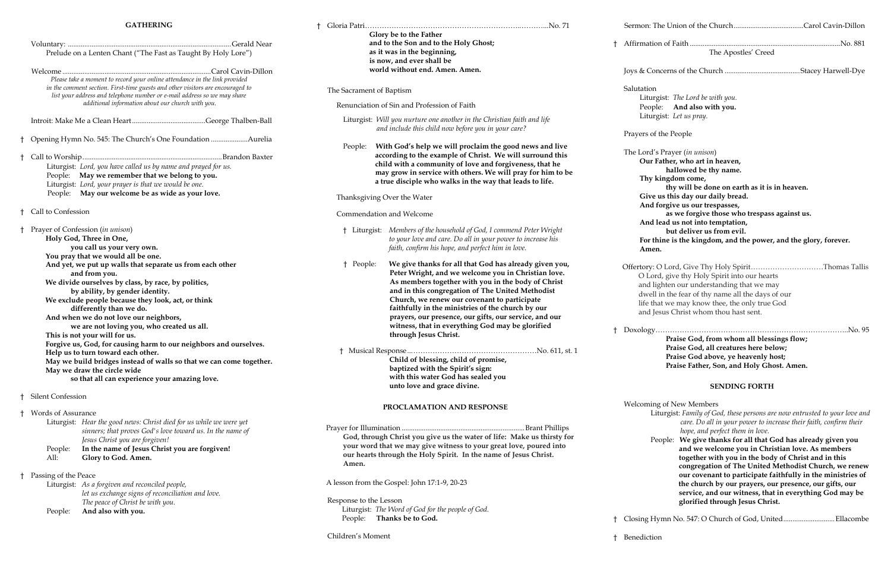### **GATHERING**

|    |                                                                                                                                                                                                                                                                                                                                                                                                                                                                                                                                                                                                                                                                                                                                                                                     | Prelude on a Lenten Chant ("The Fast as Taught By Holy Lore")                                                                                                                                                                                                                                 |  |
|----|-------------------------------------------------------------------------------------------------------------------------------------------------------------------------------------------------------------------------------------------------------------------------------------------------------------------------------------------------------------------------------------------------------------------------------------------------------------------------------------------------------------------------------------------------------------------------------------------------------------------------------------------------------------------------------------------------------------------------------------------------------------------------------------|-----------------------------------------------------------------------------------------------------------------------------------------------------------------------------------------------------------------------------------------------------------------------------------------------|--|
|    |                                                                                                                                                                                                                                                                                                                                                                                                                                                                                                                                                                                                                                                                                                                                                                                     | Please take a moment to record your online attendance in the link provided<br>in the comment section. First-time guests and other visitors are encouraged to<br>list your address and telephone number or e-mail address so we may share<br>additional information about our church with you. |  |
|    |                                                                                                                                                                                                                                                                                                                                                                                                                                                                                                                                                                                                                                                                                                                                                                                     |                                                                                                                                                                                                                                                                                               |  |
| Ť  |                                                                                                                                                                                                                                                                                                                                                                                                                                                                                                                                                                                                                                                                                                                                                                                     | Opening Hymn No. 545: The Church's One Foundation Aurelia                                                                                                                                                                                                                                     |  |
| Ť  | People:                                                                                                                                                                                                                                                                                                                                                                                                                                                                                                                                                                                                                                                                                                                                                                             | Liturgist: Lord, you have called us by name and prayed for us.<br>May we remember that we belong to you.<br>Liturgist: Lord, your prayer is that we would be one.<br>People: May our welcome be as wide as your love.                                                                         |  |
| Ť  | Call to Confession                                                                                                                                                                                                                                                                                                                                                                                                                                                                                                                                                                                                                                                                                                                                                                  |                                                                                                                                                                                                                                                                                               |  |
| t  | Prayer of Confession (in unison)<br>Holy God, Three in One,<br>you call us your very own.<br>You pray that we would all be one.<br>And yet, we put up walls that separate us from each other<br>and from you.<br>We divide ourselves by class, by race, by politics,<br>by ability, by gender identity.<br>We exclude people because they look, act, or think<br>differently than we do.<br>And when we do not love our neighbors,<br>we are not loving you, who created us all.<br>This is not your will for us.<br>Forgive us, God, for causing harm to our neighbors and ourselves.<br>Help us to turn toward each other.<br>May we build bridges instead of walls so that we can come together.<br>May we draw the circle wide<br>so that all can experience your amazing love. |                                                                                                                                                                                                                                                                                               |  |
| Ť. | <b>Silent Confession</b>                                                                                                                                                                                                                                                                                                                                                                                                                                                                                                                                                                                                                                                                                                                                                            |                                                                                                                                                                                                                                                                                               |  |
| Ť  | Words of Assurance<br>People:<br>All:                                                                                                                                                                                                                                                                                                                                                                                                                                                                                                                                                                                                                                                                                                                                               | Liturgist: Hear the good news: Christ died for us while we were yet<br>sinners; that proves God's love toward us. In the name of<br>Jesus Christ you are forgiven!<br>In the name of Jesus Christ you are forgiven!<br>Glory to God. Amen.                                                    |  |
| t  | Passing of the Peace                                                                                                                                                                                                                                                                                                                                                                                                                                                                                                                                                                                                                                                                                                                                                                | Liturgist: As a forgiven and reconciled people,<br>let us exchange signs of reconciliation and love.<br>The peace of Christ be with you.                                                                                                                                                      |  |
|    | People:                                                                                                                                                                                                                                                                                                                                                                                                                                                                                                                                                                                                                                                                                                                                                                             | And also with you.                                                                                                                                                                                                                                                                            |  |

 $\frac{1}{20}$ . Downstructure  $\frac{1}{20}$ . Downstructure  $\frac{1}{20}$ . Downstructure  $\frac{1}{20}$ . **Praise God, from whom all blessings flow; Praise God, all creatures here below; Praise God above, ye heavenly host; Praise Father, Son, and Holy Ghost. Amen.**

| t |                                   | Glory be to the Father<br>and to the Son and to the Holy Ghost;<br>as it was in the beginning,<br>is now, and ever shall be                                                                                                                                                                                                                                                                                                                |    | Sermon: Th                                                                      |
|---|-----------------------------------|--------------------------------------------------------------------------------------------------------------------------------------------------------------------------------------------------------------------------------------------------------------------------------------------------------------------------------------------------------------------------------------------------------------------------------------------|----|---------------------------------------------------------------------------------|
|   |                                   |                                                                                                                                                                                                                                                                                                                                                                                                                                            |    | Affirmation                                                                     |
|   |                                   | world without end. Amen. Amen.                                                                                                                                                                                                                                                                                                                                                                                                             |    | Joys & Cone                                                                     |
|   | The Sacrament of Baptism          |                                                                                                                                                                                                                                                                                                                                                                                                                                            |    | Salutation                                                                      |
|   |                                   | Renunciation of Sin and Profession of Faith                                                                                                                                                                                                                                                                                                                                                                                                |    | Liturgi<br>People                                                               |
|   |                                   | Liturgist: Will you nurture one another in the Christian faith and life<br>and include this child now before you in your care?                                                                                                                                                                                                                                                                                                             |    | Liturgi                                                                         |
|   | People:                           | With God's help we will proclaim the good news and live<br>according to the example of Christ. We will surround this<br>child with a community of love and forgiveness, that he                                                                                                                                                                                                                                                            |    | Prayers of t<br>The Lord's<br>Our Fa                                            |
|   |                                   | may grow in service with others. We will pray for him to be<br>a true disciple who walks in the way that leads to life.                                                                                                                                                                                                                                                                                                                    |    | Thy ki                                                                          |
|   |                                   | Thanksgiving Over the Water                                                                                                                                                                                                                                                                                                                                                                                                                |    | Give u<br>And fo                                                                |
|   |                                   | Commendation and Welcome                                                                                                                                                                                                                                                                                                                                                                                                                   |    | And le                                                                          |
|   |                                   | <sup>†</sup> Liturgist: Members of the household of God, I commend Peter Wright<br>to your love and care. Do all in your power to increase his<br>faith, confirm his hope, and perfect him in love.                                                                                                                                                                                                                                        |    | For thi<br>Amen.                                                                |
|   | † People:                         | We give thanks for all that God has already given you,<br>Peter Wright, and we welcome you in Christian love.<br>As members together with you in the body of Christ<br>and in this congregation of The United Methodist<br>Church, we renew our covenant to participate<br>faithfully in the ministries of the church by our<br>prayers, our presence, our gifts, our service, and our<br>witness, that in everything God may be glorified | Ť  | Offertory: O<br>O Lord<br>and lig<br>dwell i<br>life tha<br>and Jes<br>Doxology |
|   |                                   | through Jesus Christ.<br>Child of blessing, child of promise,<br>baptized with the Spirit's sign:<br>with this water God has sealed you<br>unto love and grace divine.                                                                                                                                                                                                                                                                     |    |                                                                                 |
|   |                                   | PROCLAMATION AND RESPONSE                                                                                                                                                                                                                                                                                                                                                                                                                  |    | Welcoming<br>Litt                                                               |
|   | Amen.                             | God, through Christ you give us the water of life: Make us thirsty for<br>your word that we may give witness to your great love, poured into<br>our hearts through the Holy Spirit. In the name of Jesus Christ.                                                                                                                                                                                                                           |    | Pec                                                                             |
|   |                                   | A lesson from the Gospel: John 17:1-9, 20-23                                                                                                                                                                                                                                                                                                                                                                                               |    |                                                                                 |
|   | Response to the Lesson<br>People: | Liturgist: The Word of God for the people of God.<br>Thanks be to God.                                                                                                                                                                                                                                                                                                                                                                     | Ť. | Closing Hy                                                                      |

Children's Moment

| t | The Apostles' Creed                                                                                                                                                                                                                                                                                                                                                                                                                 |
|---|-------------------------------------------------------------------------------------------------------------------------------------------------------------------------------------------------------------------------------------------------------------------------------------------------------------------------------------------------------------------------------------------------------------------------------------|
|   |                                                                                                                                                                                                                                                                                                                                                                                                                                     |
|   | Salutation<br>Liturgist: The Lord be with you.<br>People: And also with you.<br>Liturgist: Let us pray.                                                                                                                                                                                                                                                                                                                             |
|   | Prayers of the People                                                                                                                                                                                                                                                                                                                                                                                                               |
|   | The Lord's Prayer (in unison)<br>Our Father, who art in heaven,<br>hallowed be thy name.<br>Thy kingdom come,<br>thy will be done on earth as it is in heaven.<br>Give us this day our daily bread.<br>And forgive us our trespasses,<br>as we forgive those who trespass against us.<br>And lead us not into temptation,<br>but deliver us from evil.<br>For thine is the kingdom, and the power, and the glory, forever.<br>Amen. |
|   | Offertory: O Lord, Give Thy Holy SpiritThomas Tallis<br>O Lord, give thy Holy Spirit into our hearts<br>and lighten our understanding that we may<br>dwell in the fear of thy name all the days of our<br>life that we may know thee, the only true God                                                                                                                                                                             |

esus Christ whom thou hast sent.

#### **SENDING FORTH**

ng of New Members

 Liturgist: *Family of God, these persons are now entrusted to your love and care. Do all in your power to increase their faith, confirm their hope, and perfect them in love.* 

 People: **We give thanks for all that God has already given you and we welcome you in Christian love. As members together with you in the body of Christ and in this congregation of The United Methodist Church, we renew our covenant to participate faithfully in the ministries of the church by our prayers, our presence, our gifts, our service, and our witness, that in everything God may be glorified through Jesus Christ.**

Iymn No. 547: O Church of God, United.............................Ellacombe

† Benediction